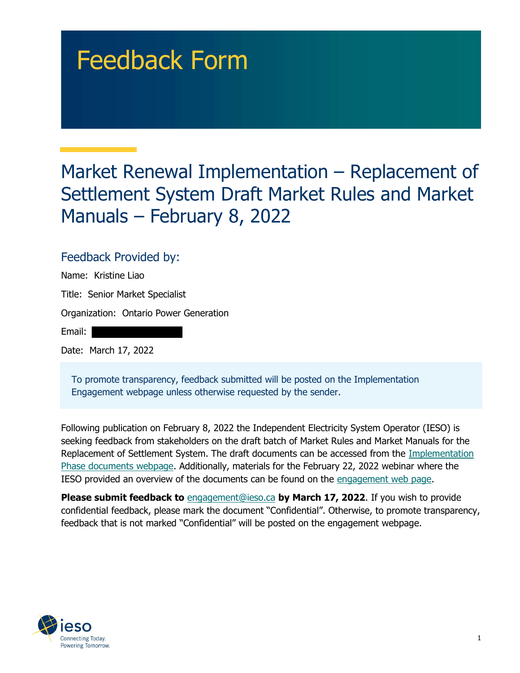# Feedback Form

# Market Renewal Implementation – Replacement of Settlement System Draft Market Rules and Market Manuals – February 8, 2022

#### Feedback Provided by:

 Name: Kristine Liao Title: Senior Market Specialist Organization: Ontario Power Generation Email: Date: March 17, 2022

 To promote transparency, feedback submitted will be posted on the Implementation Engagement webpage unless otherwise requested by the sender.

 Following publication on February 8, 2022 the Independent Electricity System Operator (IESO) is seeking feedback from stakeholders on the draft batch of Market Rules and Market Manuals for the Replacement of Settlement System. The draft documents can be accessed from the *Implementation* Phase documents webpage. Additionally, materials for the February 22, 2022 webinar where the IESO provided an overview of the documents can be found on the engagement web page.

Please submit feedback to **[engagement@ieso.ca](mailto:engagement@ieso.ca)</u> by March 17, 2022**. If you wish to provide confidential feedback, please mark the document "Confidential". Otherwise, to promote transparency, feedback that is not marked "Confidential" will be posted on the engagement webpage.

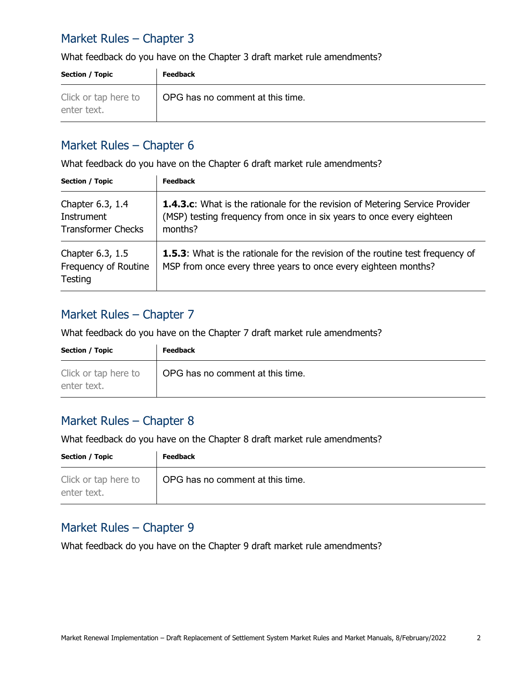### Market Rules – Chapter 3

What feedback do you have on the Chapter 3 draft market rule amendments?

| <b>Section / Topic</b>              | <b>Feedback</b>                  |
|-------------------------------------|----------------------------------|
| Click or tap here to<br>enter text. | OPG has no comment at this time. |

#### Market Rules – Chapter 6

What feedback do you have on the Chapter 6 draft market rule amendments?

| <b>Section / Topic</b>                                      | <b>Feedback</b>                                                                                                                                                         |
|-------------------------------------------------------------|-------------------------------------------------------------------------------------------------------------------------------------------------------------------------|
| Chapter 6.3, 1.4<br>Instrument<br><b>Transformer Checks</b> | <b>1.4.3.c:</b> What is the rationale for the revision of Metering Service Provider<br>(MSP) testing frequency from once in six years to once every eighteen<br>months? |
| Chapter 6.3, 1.5<br>Frequency of Routine<br>Testing         | <b>1.5.3:</b> What is the rationale for the revision of the routine test frequency of<br>MSP from once every three years to once every eighteen months?                 |

#### Market Rules – Chapter 7

What feedback do you have on the Chapter 7 draft market rule amendments?

| <b>Section / Topic</b>              | <b>Feedback</b>                  |
|-------------------------------------|----------------------------------|
| Click or tap here to<br>enter text. | OPG has no comment at this time. |

#### Market Rules – Chapter 8

What feedback do you have on the Chapter 8 draft market rule amendments?

| <b>Section / Topic</b>              | <b>Feedback</b>                  |
|-------------------------------------|----------------------------------|
| Click or tap here to<br>enter text. | OPG has no comment at this time. |

#### Market Rules – Chapter 9

What feedback do you have on the Chapter 9 draft market rule amendments?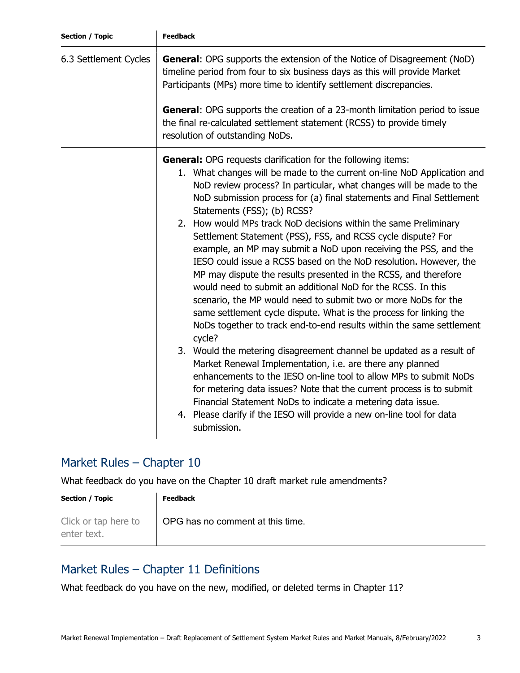| <b>Section / Topic</b> | <b>Feedback</b>                                                                                                                                                                                                                                                                                                                                                                                                                                                                                                                                                                                                                                                                                                                                                                                                                                                                                                                                                                                                                                                                                                                                                                                                                                                                                                                                                                                                 |
|------------------------|-----------------------------------------------------------------------------------------------------------------------------------------------------------------------------------------------------------------------------------------------------------------------------------------------------------------------------------------------------------------------------------------------------------------------------------------------------------------------------------------------------------------------------------------------------------------------------------------------------------------------------------------------------------------------------------------------------------------------------------------------------------------------------------------------------------------------------------------------------------------------------------------------------------------------------------------------------------------------------------------------------------------------------------------------------------------------------------------------------------------------------------------------------------------------------------------------------------------------------------------------------------------------------------------------------------------------------------------------------------------------------------------------------------------|
| 6.3 Settlement Cycles  | <b>General:</b> OPG supports the extension of the Notice of Disagreement (NoD)<br>timeline period from four to six business days as this will provide Market<br>Participants (MPs) more time to identify settlement discrepancies.                                                                                                                                                                                                                                                                                                                                                                                                                                                                                                                                                                                                                                                                                                                                                                                                                                                                                                                                                                                                                                                                                                                                                                              |
|                        | <b>General:</b> OPG supports the creation of a 23-month limitation period to issue<br>the final re-calculated settlement statement (RCSS) to provide timely<br>resolution of outstanding NoDs.                                                                                                                                                                                                                                                                                                                                                                                                                                                                                                                                                                                                                                                                                                                                                                                                                                                                                                                                                                                                                                                                                                                                                                                                                  |
|                        | <b>General:</b> OPG requests clarification for the following items:<br>1. What changes will be made to the current on-line NoD Application and<br>NoD review process? In particular, what changes will be made to the<br>NoD submission process for (a) final statements and Final Settlement<br>Statements (FSS); (b) RCSS?<br>2. How would MPs track NoD decisions within the same Preliminary<br>Settlement Statement (PSS), FSS, and RCSS cycle dispute? For<br>example, an MP may submit a NoD upon receiving the PSS, and the<br>IESO could issue a RCSS based on the NoD resolution. However, the<br>MP may dispute the results presented in the RCSS, and therefore<br>would need to submit an additional NoD for the RCSS. In this<br>scenario, the MP would need to submit two or more NoDs for the<br>same settlement cycle dispute. What is the process for linking the<br>NoDs together to track end-to-end results within the same settlement<br>cycle?<br>3. Would the metering disagreement channel be updated as a result of<br>Market Renewal Implementation, i.e. are there any planned<br>enhancements to the IESO on-line tool to allow MPs to submit NoDs<br>for metering data issues? Note that the current process is to submit<br>Financial Statement NoDs to indicate a metering data issue.<br>4. Please clarify if the IESO will provide a new on-line tool for data<br>submission. |

# Market Rules – Chapter 10

What feedback do you have on the Chapter 10 draft market rule amendments?

| <b>Section / Topic</b>              | <b>Feedback</b>                  |
|-------------------------------------|----------------------------------|
| Click or tap here to<br>enter text. | OPG has no comment at this time. |

# Market Rules – Chapter 11 Definitions

What feedback do you have on the new, modified, or deleted terms in Chapter 11?